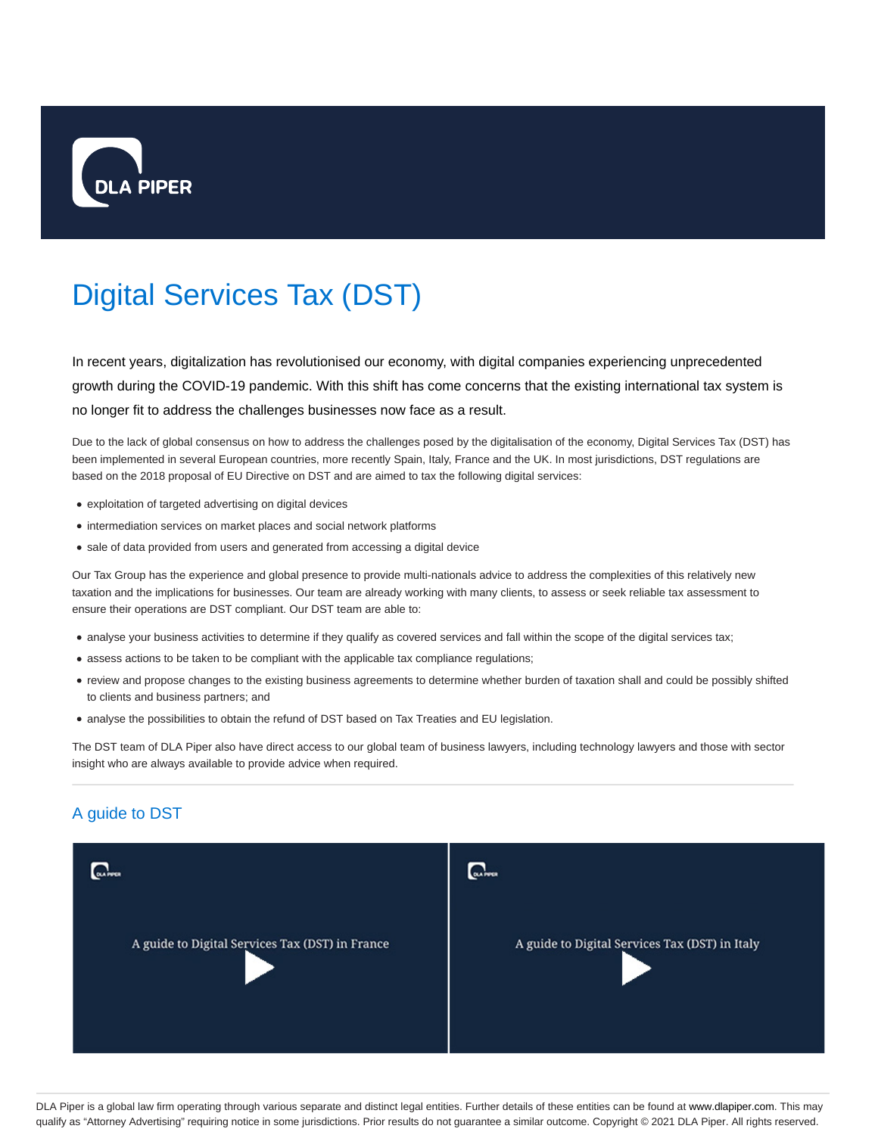

# Digital Services Tax (DST)

In recent years, digitalization has revolutionised our economy, with digital companies experiencing unprecedented growth during the COVID-19 pandemic. With this shift has come concerns that the existing international tax system is no longer fit to address the challenges businesses now face as a result.

Due to the lack of global consensus on how to address the challenges posed by the digitalisation of the economy, Digital Services Tax (DST) has been implemented in several European countries, more recently Spain, Italy, France and the UK. In most jurisdictions, DST regulations are based on the 2018 proposal of EU Directive on DST and are aimed to tax the following digital services:

- exploitation of targeted advertising on digital devices
- intermediation services on market places and social network platforms
- sale of data provided from users and generated from accessing a digital device

Our Tax Group has the experience and global presence to provide multi-nationals advice to address the complexities of this relatively new taxation and the implications for businesses. Our team are already working with many clients, to assess or seek reliable tax assessment to ensure their operations are DST compliant. Our DST team are able to:

- analyse your business activities to determine if they qualify as covered services and fall within the scope of the digital services tax;
- assess actions to be taken to be compliant with the applicable tax compliance regulations;
- review and propose changes to the existing business agreements to determine whether burden of taxation shall and could be possibly shifted to clients and business partners; and
- analyse the possibilities to obtain the refund of DST based on Tax Treaties and EU legislation.

The DST team of DLA Piper also have direct access to our global team of business lawyers, including technology lawyers and those with sector insight who are always available to provide advice when required.

## A guide to DST

| <b>DLA PUCH</b>                                 | <b>GLAPPER</b>                                 |
|-------------------------------------------------|------------------------------------------------|
| A guide to Digital Services Tax (DST) in France | A guide to Digital Services Tax (DST) in Italy |

DLA Piper is a global law firm operating through various separate and distinct legal entities. Further details of these entities can be found at www.dlapiper.com. This may qualify as "Attorney Advertising" requiring notice in some jurisdictions. Prior results do not guarantee a similar outcome. Copyright @ 2021 DLA Piper. All rights reserved.